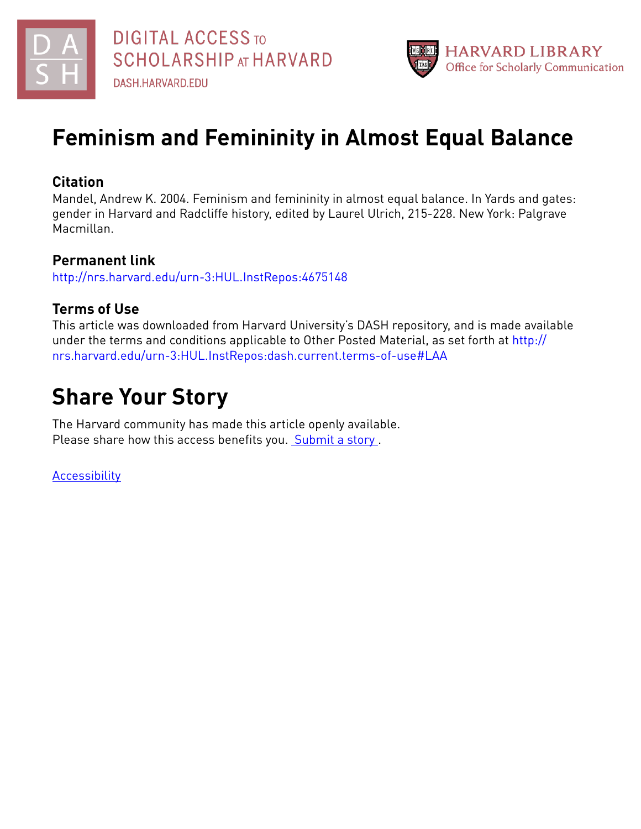



# **Feminism and Femininity in Almost Equal Balance**

## **Citation**

Mandel, Andrew K. 2004. Feminism and femininity in almost equal balance. In Yards and gates: gender in Harvard and Radcliffe history, edited by Laurel Ulrich, 215-228. New York: Palgrave Macmillan.

# **Permanent link**

<http://nrs.harvard.edu/urn-3:HUL.InstRepos:4675148>

# **Terms of Use**

This article was downloaded from Harvard University's DASH repository, and is made available under the terms and conditions applicable to Other Posted Material, as set forth at [http://](http://nrs.harvard.edu/urn-3:HUL.InstRepos:dash.current.terms-of-use#LAA) [nrs.harvard.edu/urn-3:HUL.InstRepos:dash.current.terms-of-use#LAA](http://nrs.harvard.edu/urn-3:HUL.InstRepos:dash.current.terms-of-use#LAA)

# **Share Your Story**

The Harvard community has made this article openly available. Please share how this access benefits you. [Submit](http://osc.hul.harvard.edu/dash/open-access-feedback?handle=&title=Feminism%20and%20Femininity%20in%20Almost%20Equal%20Balance&community=1/4662761&collection=1/4662763&owningCollection1/4662763&harvardAuthors=92e29170c5c8a6f675abd31640e71e4d&department) a story .

[Accessibility](https://dash.harvard.edu/pages/accessibility)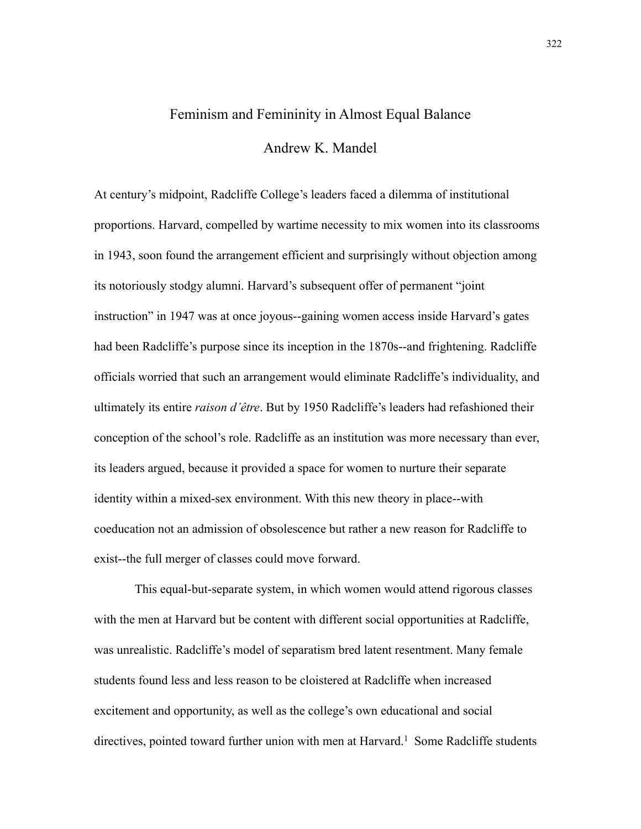## Feminism and Femininity in Almost Equal Balance

Andrew K. Mandel

At century's midpoint, Radcliffe College's leaders faced a dilemma of institutional proportions. Harvard, compelled by wartime necessity to mix women into its classrooms in 1943, soon found the arrangement efficient and surprisingly without objection among its notoriously stodgy alumni. Harvard's subsequent offer of permanent "joint instruction" in 1947 was at once joyous--gaining women access inside Harvard's gates had been Radcliffe's purpose since its inception in the 1870s--and frightening. Radcliffe officials worried that such an arrangement would eliminate Radcliffe's individuality, and ultimately its entire *raison d'être*. But by 1950 Radcliffe's leaders had refashioned their conception of the school's role. Radcliffe as an institution was more necessary than ever, its leaders argued, because it provided a space for women to nurture their separate identity within a mixed-sex environment. With this new theory in place--with coeducation not an admission of obsolescence but rather a new reason for Radcliffe to exist--the full merger of classes could move forward.

 This equal-but-separate system, in which women would attend rigorous classes with the men at Harvard but be content with different social opportunities at Radcliffe, was unrealistic. Radcliffe's model of separatism bred latent resentment. Many female students found less and less reason to be cloistered at Radcliffe when increased excitement and opportunity, as well as the college's own educational and social directives, pointed toward further union with men at Harvard.<sup>1</sup> Some Radcliffe students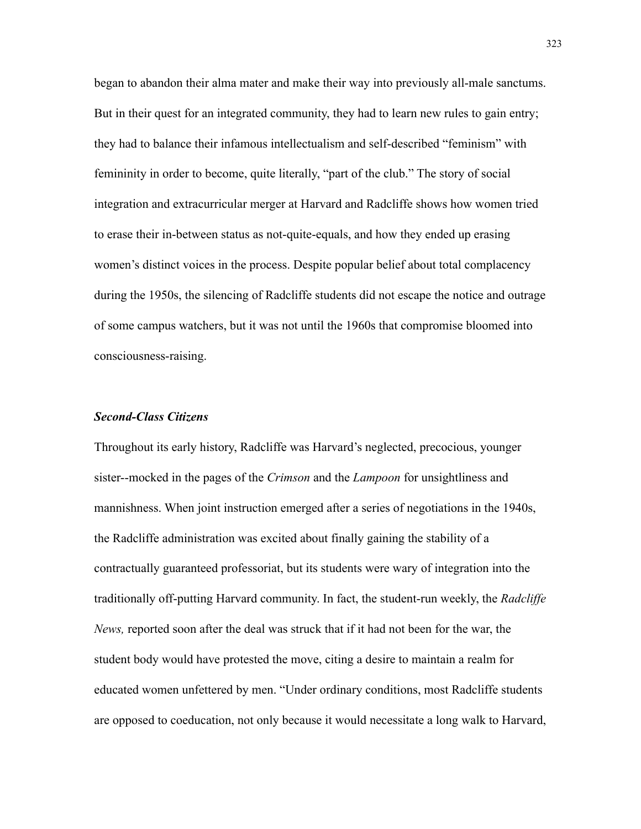began to abandon their alma mater and make their way into previously all-male sanctums. But in their quest for an integrated community, they had to learn new rules to gain entry; they had to balance their infamous intellectualism and self-described "feminism" with femininity in order to become, quite literally, "part of the club." The story of social integration and extracurricular merger at Harvard and Radcliffe shows how women tried to erase their in-between status as not-quite-equals, and how they ended up erasing women's distinct voices in the process. Despite popular belief about total complacency during the 1950s, the silencing of Radcliffe students did not escape the notice and outrage of some campus watchers, but it was not until the 1960s that compromise bloomed into consciousness-raising.

#### *Second-Class Citizens*

Throughout its early history, Radcliffe was Harvard's neglected, precocious, younger sister--mocked in the pages of the *Crimson* and the *Lampoon* for unsightliness and mannishness. When joint instruction emerged after a series of negotiations in the 1940s, the Radcliffe administration was excited about finally gaining the stability of a contractually guaranteed professoriat, but its students were wary of integration into the traditionally off-putting Harvard community. In fact, the student-run weekly, the *Radcliffe News,* reported soon after the deal was struck that if it had not been for the war, the student body would have protested the move, citing a desire to maintain a realm for educated women unfettered by men. "Under ordinary conditions, most Radcliffe students are opposed to coeducation, not only because it would necessitate a long walk to Harvard,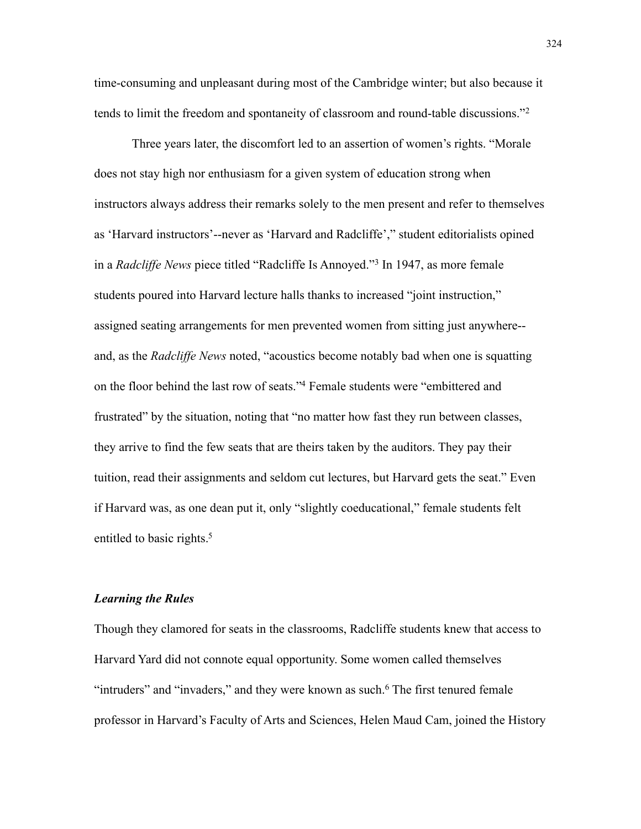time-consuming and unpleasant during most of the Cambridge winter; but also because it tends to limit the freedom and spontaneity of classroom and round-table discussions."[2](#page-16-1)

Three years later, the discomfort led to an assertion of women's rights. "Morale does not stay high nor enthusiasm for a given system of education strong when instructors always address their remarks solely to the men present and refer to themselves as 'Harvard instructors'--never as 'Harvard and Radcliffe'," student editorialists opined in a *Radcliffe News* piece titled "Radcliffe Is Annoyed.["3](#page-16-2) In 1947, as more female students poured into Harvard lecture halls thanks to increased "joint instruction," assigned seating arrangements for men prevented women from sitting just anywhere- and, as the *Radcliffe News* noted, "acoustics become notably bad when one is squatting on the floor behind the last row of seats.["4](#page-16-3) Female students were "embittered and frustrated" by the situation, noting that "no matter how fast they run between classes, they arrive to find the few seats that are theirs taken by the auditors. They pay their tuition, read their assignments and seldom cut lectures, but Harvard gets the seat." Even if Harvard was, as one dean put it, only "slightly coeducational," female students felt entitled to basic rights.<sup>5</sup>

### *Learning the Rules*

Though they clamored for seats in the classrooms, Radcliffe students knew that access to Harvard Yard did not connote equal opportunity. Some women called themselves "intruders" and "invaders," and they were known as such.<sup>6</sup> The first tenured female professor in Harvard's Faculty of Arts and Sciences, Helen Maud Cam, joined the History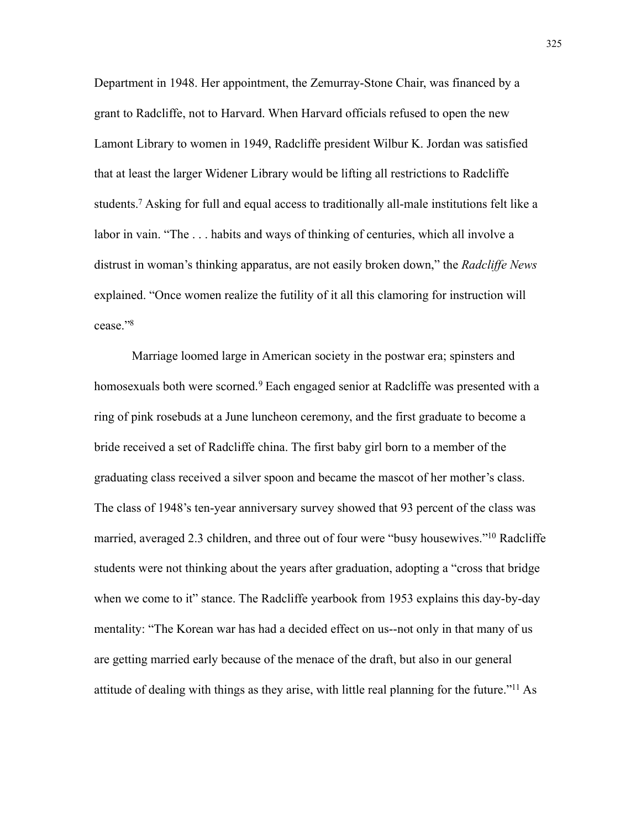Department in 1948. Her appointment, the Zemurray-Stone Chair, was financed by a grant to Radcliffe, not to Harvard. When Harvard officials refused to open the new Lamont Library to women in 1949, Radcliffe president Wilbur K. Jordan was satisfied that at least the larger Widener Library would be lifting all restrictions to Radcliffe students[.7](#page-17-1) Asking for full and equal access to traditionally all-male institutions felt like a labor in vain. "The . . . habits and ways of thinking of centuries, which all involve a distrust in woman's thinking apparatus, are not easily broken down," the *Radcliffe News* explained. "Once women realize the futility of it all this clamoring for instruction will cease.["8](#page-17-2)

Marriage loomed large in American society in the postwar era; spinsters and homosexuals both were scorned.<sup>9</sup> Each engaged senior at Radcliffe was presented with a ring of pink rosebuds at a June luncheon ceremony, and the first graduate to become a bride received a set of Radcliffe china. The first baby girl born to a member of the graduating class received a silver spoon and became the mascot of her mother's class. The class of 1948's ten-year anniversary survey showed that 93 percent of the class was married, averaged 2.3 children, and three out of four were "busy housewives.["10](#page-17-4) Radcliffe students were not thinking about the years after graduation, adopting a "cross that bridge when we come to it" stance. The Radcliffe yearbook from 1953 explains this day-by-day mentality: "The Korean war has had a decided effect on us--not only in that many of us are getting married early because of the menace of the draft, but also in our general attitude of dealing with things as they arise, with little real planning for the future.["11](#page-17-5) As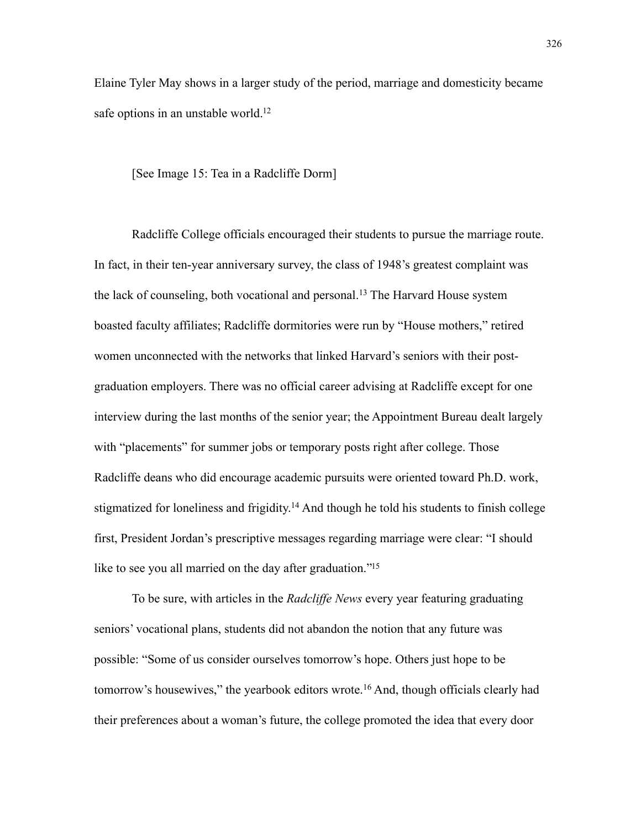Elaine Tyler May shows in a larger study of the period, marriage and domesticity became safe options in an unstable world.<sup>12</sup>

[See Image 15: Tea in a Radcliffe Dorm]

Radcliffe College officials encouraged their students to pursue the marriage route. In fact, in their ten-year anniversary survey, the class of 1948's greatest complaint was the lack of counseling, both vocational and personal.<sup>13</sup> The Harvard House system boasted faculty affiliates; Radcliffe dormitories were run by "House mothers," retired women unconnected with the networks that linked Harvard's seniors with their postgraduation employers. There was no official career advising at Radcliffe except for one interview during the last months of the senior year; the Appointment Bureau dealt largely with "placements" for summer jobs or temporary posts right after college. Those Radcliffe deans who did encourage academic pursuits were oriented toward Ph.D. work, stigmatized for loneliness and frigidity.<sup>14</sup> And though he told his students to finish college first, President Jordan's prescriptive messages regarding marriage were clear: "I should like to see you all married on the day after graduation."<sup>15</sup>

To be sure, with articles in the *Radcliffe News* every year featuring graduating seniors' vocational plans, students did not abandon the notion that any future was possible: "Some of us consider ourselves tomorrow's hope. Others just hope to be tomorrow's housewives," the yearbook editors wrote.<sup>16</sup> And, though officials clearly had their preferences about a woman's future, the college promoted the idea that every door

326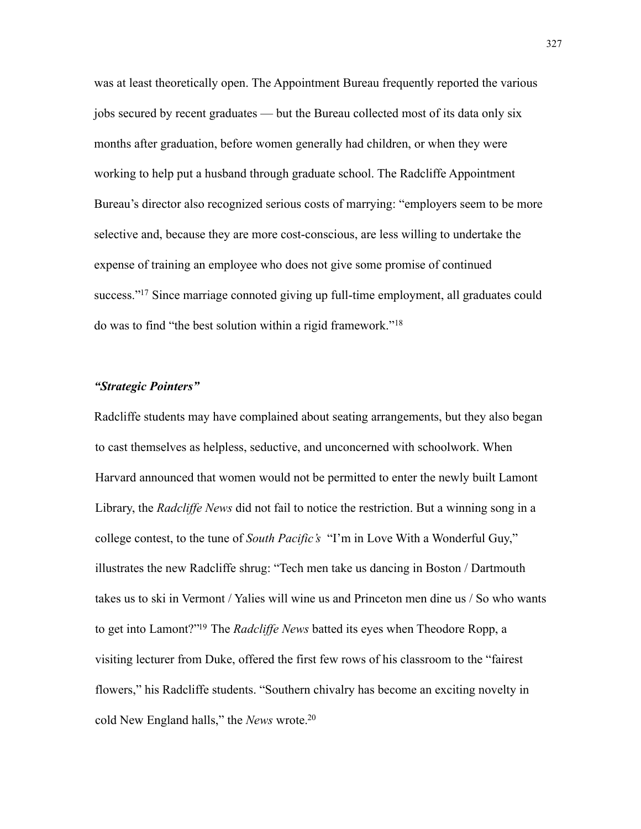was at least theoretically open. The Appointment Bureau frequently reported the various jobs secured by recent graduates — but the Bureau collected most of its data only six months after graduation, before women generally had children, or when they were working to help put a husband through graduate school. The Radcliffe Appointment Bureau's director also recognized serious costs of marrying: "employers seem to be more selective and, because they are more cost-conscious, are less willing to undertake the expense of training an employee who does not give some promise of continued success.["17](#page-17-11) Since marriage connoted giving up full-time employment, all graduates could do was to find "the best solution within a rigid framework."[18](#page-17-12)

### *"Strategic Pointers"*

Radcliffe students may have complained about seating arrangements, but they also began to cast themselves as helpless, seductive, and unconcerned with schoolwork. When Harvard announced that women would not be permitted to enter the newly built Lamont Library, the *Radcliffe News* did not fail to notice the restriction. But a winning song in a college contest, to the tune of *South Pacific's* "I'm in Love With a Wonderful Guy," illustrates the new Radcliffe shrug: "Tech men take us dancing in Boston / Dartmouth takes us to ski in Vermont / Yalies will wine us and Princeton men dine us / So who wants to get into Lamont?["19](#page-17-13) The *Radcliffe News* batted its eyes when Theodore Ropp, a visiting lecturer from Duke, offered the first few rows of his classroom to the "fairest flowers," his Radcliffe students. "Southern chivalry has become an exciting novelty in cold New England halls," the *News* wrote[.20](#page-17-14)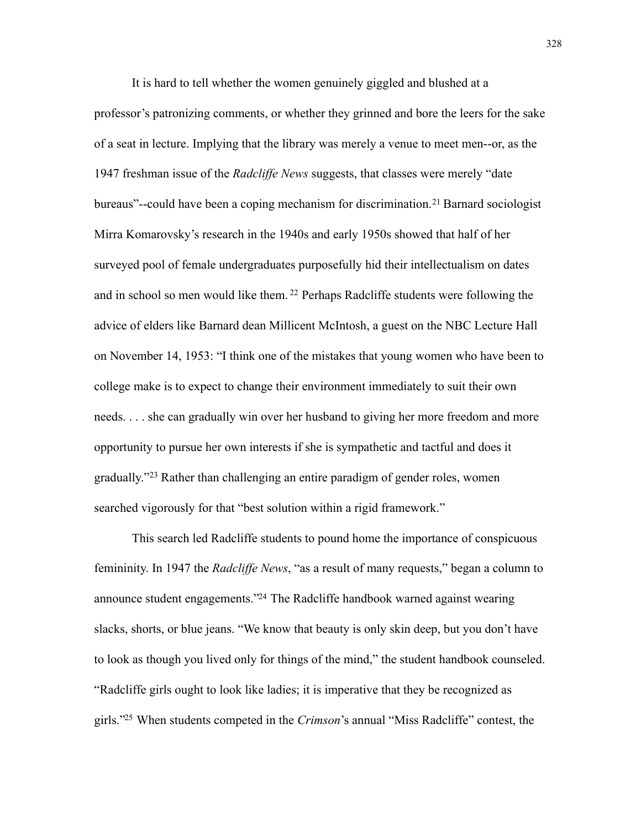It is hard to tell whether the women genuinely giggled and blushed at a professor's patronizing comments, or whether they grinned and bore the leers for the sake of a seat in lecture. Implying that the library was merely a venue to meet men--or, as the 1947 freshman issue of the *Radcliffe News* suggests, that classes were merely "date bureaus"--could have been a coping mechanism for discrimination.<sup>21</sup> Barnard sociologist Mirra Komarovsky's research in the 1940s and early 1950s showed that half of her surveyed pool of female undergraduates purposefully hid their intellectualism on dates and in school so men would like them. [22](#page-18-0) Perhaps Radcliffe students were following the advice of elders like Barnard dean Millicent McIntosh, a guest on the NBC Lecture Hall on November 14, 1953: "I think one of the mistakes that young women who have been to college make is to expect to change their environment immediately to suit their own needs. . . . she can gradually win over her husband to giving her more freedom and more opportunity to pursue her own interests if she is sympathetic and tactful and does it gradually."[23](#page-18-1) Rather than challenging an entire paradigm of gender roles, women searched vigorously for that "best solution within a rigid framework."

This search led Radcliffe students to pound home the importance of conspicuous femininity. In 1947 the *Radcliffe News*, "as a result of many requests," began a column to announce student engagements.["24](#page-18-2) The Radcliffe handbook warned against wearing slacks, shorts, or blue jeans. "We know that beauty is only skin deep, but you don't have to look as though you lived only for things of the mind," the student handbook counseled. "Radcliffe girls ought to look like ladies; it is imperative that they be recognized as girls.["25](#page-18-3) When students competed in the *Crimson*'s annual "Miss Radcliffe" contest, the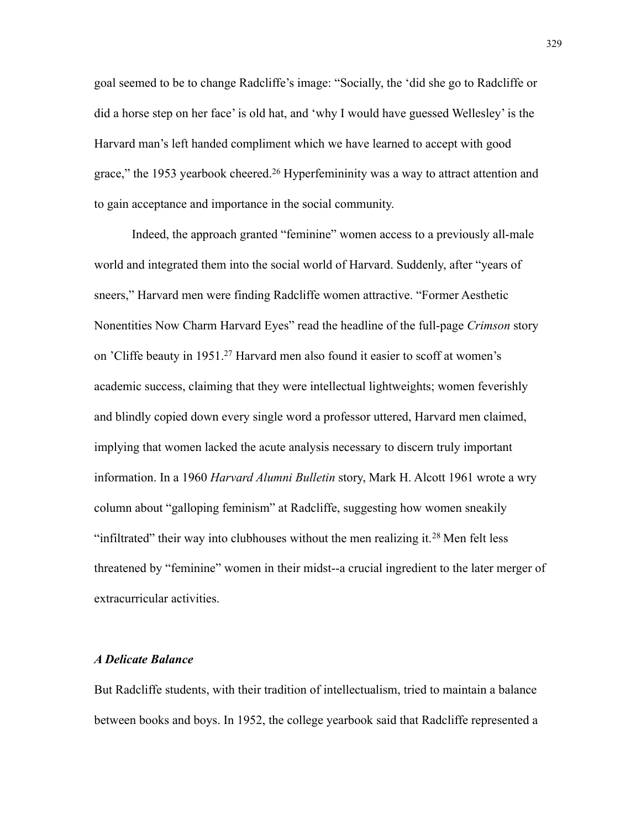goal seemed to be to change Radcliffe's image: "Socially, the 'did she go to Radcliffe or did a horse step on her face' is old hat, and 'why I would have guessed Wellesley' is the Harvard man's left handed compliment which we have learned to accept with good grace," the 1953 yearbook cheered.<sup>26</sup> Hyperfemininity was a way to attract attention and to gain acceptance and importance in the social community.

Indeed, the approach granted "feminine" women access to a previously all-male world and integrated them into the social world of Harvard. Suddenly, after "years of sneers," Harvard men were finding Radcliffe women attractive. "Former Aesthetic Nonentities Now Charm Harvard Eyes" read the headline of the full-page *Crimson* story on 'Cliffe beauty in 1951[.27](#page-18-5) Harvard men also found it easier to scoff at women's academic success, claiming that they were intellectual lightweights; women feverishly and blindly copied down every single word a professor uttered, Harvard men claimed, implying that women lacked the acute analysis necessary to discern truly important information. In a 1960 *Harvard Alumni Bulletin* story, Mark H. Alcott 1961 wrote a wry column about "galloping feminism" at Radcliffe, suggesting how women sneakily "infiltrated" their way into clubhouses without the men realizing it.[28](#page-18-6) Men felt less threatened by "feminine" women in their midst--a crucial ingredient to the later merger of extracurricular activities.

### *A Delicate Balance*

But Radcliffe students, with their tradition of intellectualism, tried to maintain a balance between books and boys. In 1952, the college yearbook said that Radcliffe represented a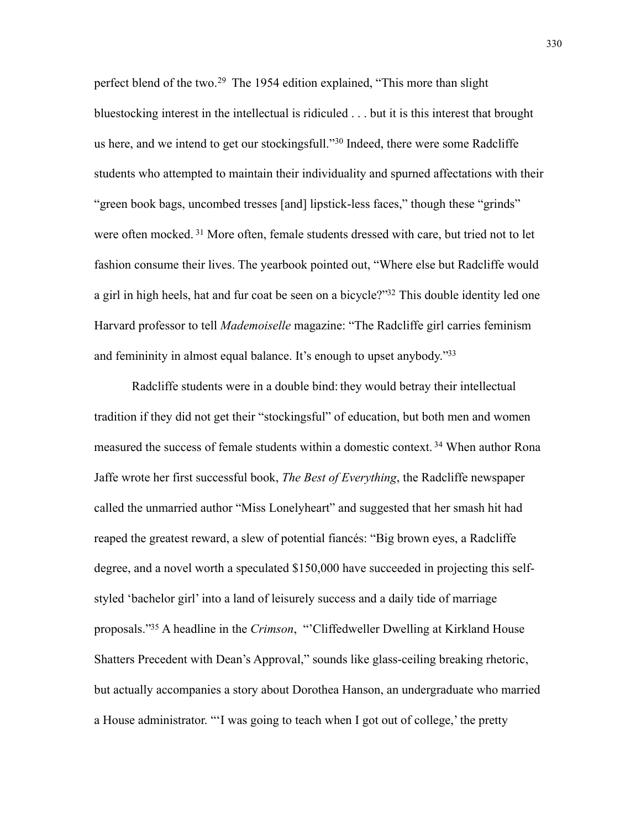perfect blend of the two.[29](#page-18-7) The 1954 edition explained, "This more than slight bluestocking interest in the intellectual is ridiculed . . . but it is this interest that brought us here, and we intend to get our stockingsfull."[30](#page-18-8) Indeed, there were some Radcliffe students who attempted to maintain their individuality and spurned affectations with their "green book bags, uncombed tresses [and] lipstick-less faces," though these "grinds" were often mocked. [31](#page-18-9) More often, female students dressed with care, but tried not to let fashion consume their lives. The yearbook pointed out, "Where else but Radcliffe would a girl in high heels, hat and fur coat be seen on a bicycle?"<sup>32</sup> This double identity led one Harvard professor to tell *Mademoiselle* magazine: "The Radcliffe girl carries feminism and femininity in almost equal balance. It's enough to upset anybody.["33](#page-18-11)

Radcliffe students were in a double bind: they would betray their intellectual tradition if they did not get their "stockingsful" of education, but both men and women measured the success of female students within a domestic context. [34](#page-18-12) When author Rona Jaffe wrote her first successful book, *The Best of Everything*, the Radcliffe newspaper called the unmarried author "Miss Lonelyheart" and suggested that her smash hit had reaped the greatest reward, a slew of potential fiancés: "Big brown eyes, a Radcliffe degree, and a novel worth a speculated \$150,000 have succeeded in projecting this selfstyled 'bachelor girl' into a land of leisurely success and a daily tide of marriage proposals.["35](#page-18-13) A headline in the *Crimson*, "'Cliffedweller Dwelling at Kirkland House Shatters Precedent with Dean's Approval," sounds like glass-ceiling breaking rhetoric, but actually accompanies a story about Dorothea Hanson, an undergraduate who married a House administrator. "'I was going to teach when I got out of college,' the pretty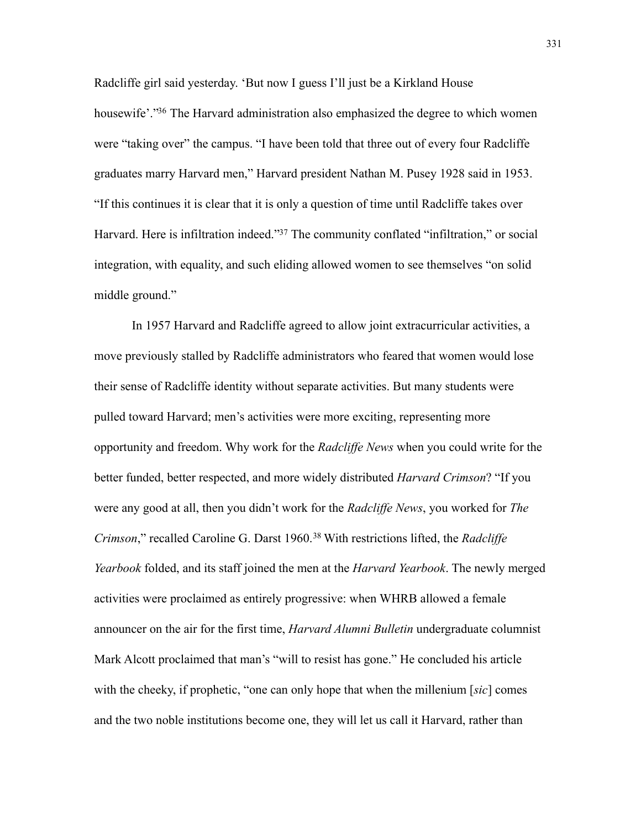Radcliffe girl said yesterday. 'But now I guess I'll just be a Kirkland House housewife'.<sup>"36</sup> The Harvard administration also emphasized the degree to which women were "taking over" the campus. "I have been told that three out of every four Radcliffe graduates marry Harvard men," Harvard president Nathan M. Pusey 1928 said in 1953. "If this continues it is clear that it is only a question of time until Radcliffe takes over Harvard. Here is infiltration indeed."<sup>37</sup> The community conflated "infiltration," or social integration, with equality, and such eliding allowed women to see themselves "on solid middle ground."

In 1957 Harvard and Radcliffe agreed to allow joint extracurricular activities, a move previously stalled by Radcliffe administrators who feared that women would lose their sense of Radcliffe identity without separate activities. But many students were pulled toward Harvard; men's activities were more exciting, representing more opportunity and freedom. Why work for the *Radcliffe News* when you could write for the better funded, better respected, and more widely distributed *Harvard Crimson*? "If you were any good at all, then you didn't work for the *Radcliffe News*, you worked for *The Crimson*," recalled Caroline G. Darst 1960.[38](#page-19-1) With restrictions lifted, the *Radcliffe Yearbook* folded, and its staff joined the men at the *Harvard Yearbook*. The newly merged activities were proclaimed as entirely progressive: when WHRB allowed a female announcer on the air for the first time, *Harvard Alumni Bulletin* undergraduate columnist Mark Alcott proclaimed that man's "will to resist has gone." He concluded his article with the cheeky, if prophetic, "one can only hope that when the millenium [*sic*] comes and the two noble institutions become one, they will let us call it Harvard, rather than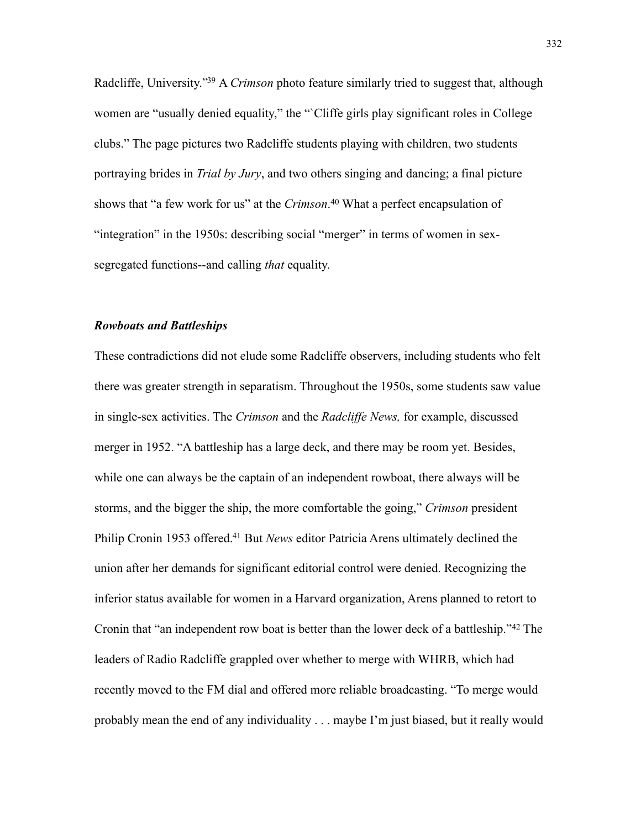Radcliffe, University.["39](#page-19-2) A *Crimson* photo feature similarly tried to suggest that, although women are "usually denied equality," the "`Cliffe girls play significant roles in College clubs." The page pictures two Radcliffe students playing with children, two students portraying brides in *Trial by Jury*, and two others singing and dancing; a final picture shows that "a few work for us" at the *Crimson*. [40](#page-19-3) What a perfect encapsulation of "integration" in the 1950s: describing social "merger" in terms of women in sexsegregated functions--and calling *that* equality.

#### *Rowboats and Battleships*

These contradictions did not elude some Radcliffe observers, including students who felt there was greater strength in separatism. Throughout the 1950s, some students saw value in single-sex activities. The *Crimson* and the *Radcliffe News,* for example, discussed merger in 1952. "A battleship has a large deck, and there may be room yet. Besides, while one can always be the captain of an independent rowboat, there always will be storms, and the bigger the ship, the more comfortable the going," *Crimson* president Philip Cronin 1953 offered.<sup>41</sup> But *News* editor Patricia Arens ultimately declined the union after her demands for significant editorial control were denied. Recognizing the inferior status available for women in a Harvard organization, Arens planned to retort to Cronin that "an independent row boat is better than the lower deck of a battleship.["42](#page-19-5) The leaders of Radio Radcliffe grappled over whether to merge with WHRB, which had recently moved to the FM dial and offered more reliable broadcasting. "To merge would probably mean the end of any individuality . . . maybe I'm just biased, but it really would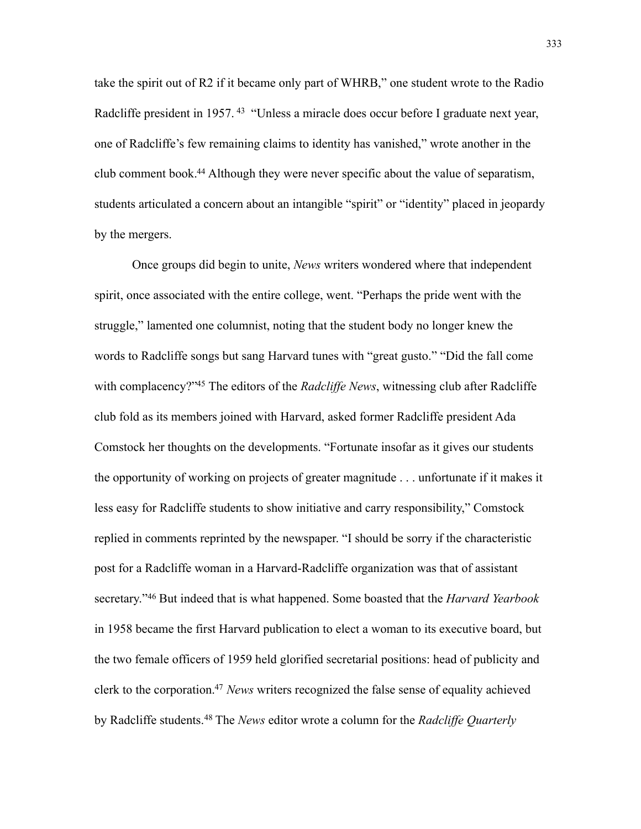take the spirit out of R2 if it became only part of WHRB," one student wrote to the Radio Radcliffe president in 1957.<sup>43</sup> "Unless a miracle does occur before I graduate next year, one of Radcliffe's few remaining claims to identity has vanished," wrote another in the club comment book[.44](#page-19-7) Although they were never specific about the value of separatism, students articulated a concern about an intangible "spirit" or "identity" placed in jeopardy by the mergers.

Once groups did begin to unite, *News* writers wondered where that independent spirit, once associated with the entire college, went. "Perhaps the pride went with the struggle," lamented one columnist, noting that the student body no longer knew the words to Radcliffe songs but sang Harvard tunes with "great gusto." "Did the fall come with complacency?["45](#page-19-8) The editors of the *Radcliffe News*, witnessing club after Radcliffe club fold as its members joined with Harvard, asked former Radcliffe president Ada Comstock her thoughts on the developments. "Fortunate insofar as it gives our students the opportunity of working on projects of greater magnitude . . . unfortunate if it makes it less easy for Radcliffe students to show initiative and carry responsibility," Comstock replied in comments reprinted by the newspaper. "I should be sorry if the characteristic post for a Radcliffe woman in a Harvard-Radcliffe organization was that of assistant secretary.["46](#page-19-9) But indeed that is what happened. Some boasted that the *Harvard Yearbook* in 1958 became the first Harvard publication to elect a woman to its executive board, but the two female officers of 1959 held glorified secretarial positions: head of publicity and clerk to the corporation[.47](#page-19-10) *News* writers recognized the false sense of equality achieved by Radcliffe students.[48](#page-19-11) The *News* editor wrote a column for the *Radcliffe Quarterly*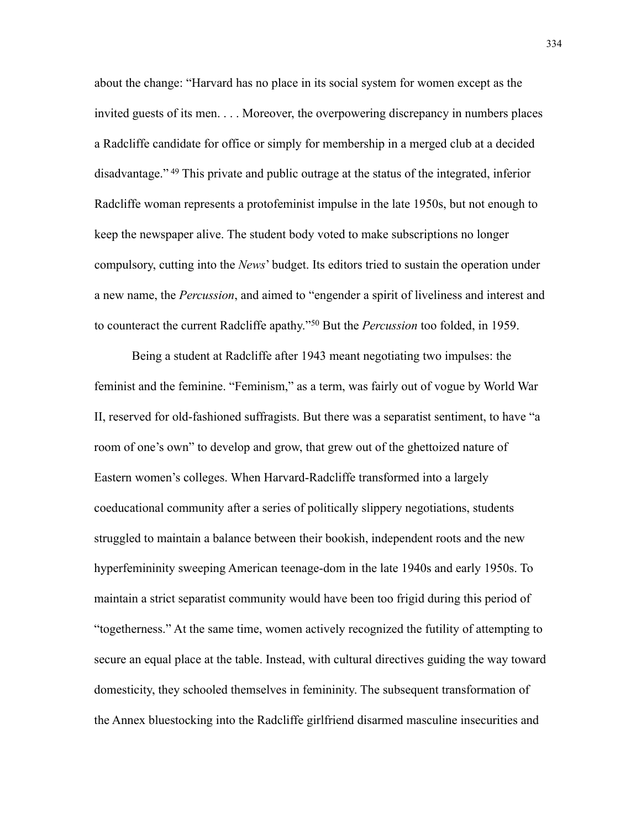about the change: "Harvard has no place in its social system for women except as the invited guests of its men. . . . Moreover, the overpowering discrepancy in numbers places a Radcliffe candidate for office or simply for membership in a merged club at a decided disadvantage." [49](#page-19-12) This private and public outrage at the status of the integrated, inferior Radcliffe woman represents a protofeminist impulse in the late 1950s, but not enough to keep the newspaper alive. The student body voted to make subscriptions no longer compulsory, cutting into the *News*' budget. Its editors tried to sustain the operation under a new name, the *Percussion*, and aimed to "engender a spirit of liveliness and interest and to counteract the current Radcliffe apathy.["50](#page-19-13) But the *Percussion* too folded, in 1959.

Being a student at Radcliffe after 1943 meant negotiating two impulses: the feminist and the feminine. "Feminism," as a term, was fairly out of vogue by World War II, reserved for old-fashioned suffragists. But there was a separatist sentiment, to have "a room of one's own" to develop and grow, that grew out of the ghettoized nature of Eastern women's colleges. When Harvard-Radcliffe transformed into a largely coeducational community after a series of politically slippery negotiations, students struggled to maintain a balance between their bookish, independent roots and the new hyperfemininity sweeping American teenage-dom in the late 1940s and early 1950s. To maintain a strict separatist community would have been too frigid during this period of "togetherness." At the same time, women actively recognized the futility of attempting to secure an equal place at the table. Instead, with cultural directives guiding the way toward domesticity, they schooled themselves in femininity. The subsequent transformation of the Annex bluestocking into the Radcliffe girlfriend disarmed masculine insecurities and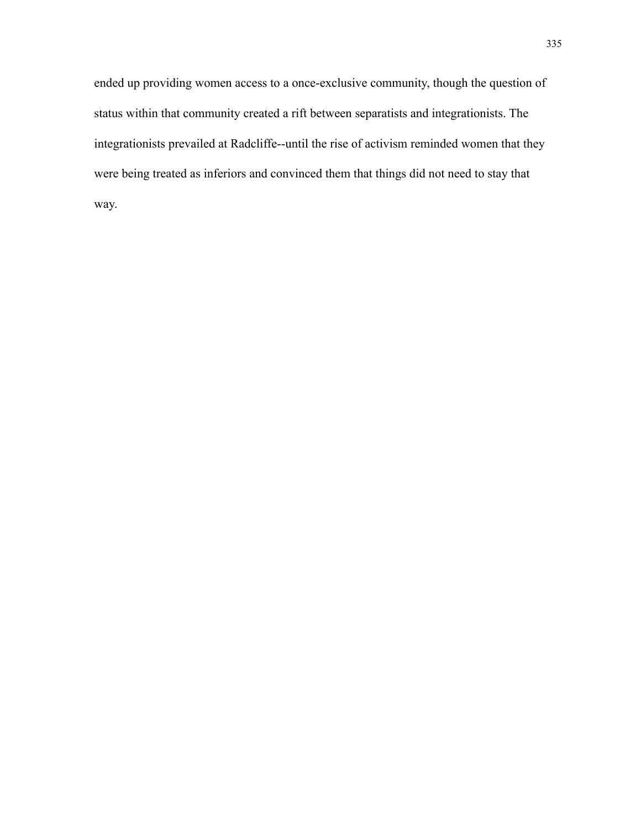ended up providing women access to a once-exclusive community, though the question of status within that community created a rift between separatists and integrationists. The integrationists prevailed at Radcliffe--until the rise of activism reminded women that they were being treated as inferiors and convinced them that things did not need to stay that way.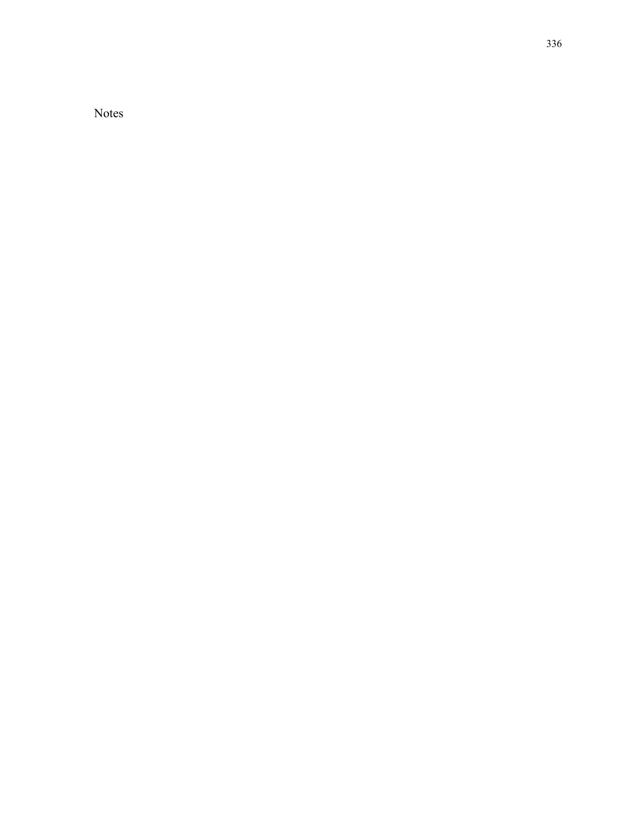Notes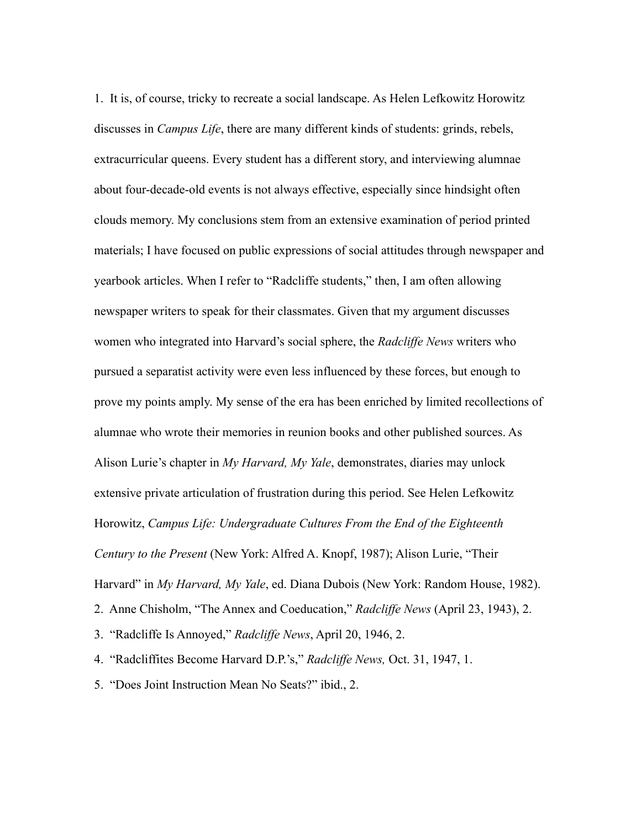<span id="page-16-0"></span>1. It is, of course, tricky to recreate a social landscape. As Helen Lefkowitz Horowitz discusses in *Campus Life*, there are many different kinds of students: grinds, rebels, extracurricular queens. Every student has a different story, and interviewing alumnae about four-decade-old events is not always effective, especially since hindsight often clouds memory. My conclusions stem from an extensive examination of period printed materials; I have focused on public expressions of social attitudes through newspaper and yearbook articles. When I refer to "Radcliffe students," then, I am often allowing newspaper writers to speak for their classmates. Given that my argument discusses women who integrated into Harvard's social sphere, the *Radcliffe News* writers who pursued a separatist activity were even less influenced by these forces, but enough to prove my points amply. My sense of the era has been enriched by limited recollections of alumnae who wrote their memories in reunion books and other published sources. As Alison Lurie's chapter in *My Harvard, My Yale*, demonstrates, diaries may unlock extensive private articulation of frustration during this period. See Helen Lefkowitz Horowitz, *Campus Life: Undergraduate Cultures From the End of the Eighteenth Century to the Present* (New York: Alfred A. Knopf, 1987); Alison Lurie, "Their Harvard" in *My Harvard, My Yale*, ed. Diana Dubois (New York: Random House, 1982). 2. Anne Chisholm, "The Annex and Coeducation," *Radcliffe News* (April 23, 1943), 2. 3. "Radcliffe Is Annoyed," *Radcliffe News*, April 20, 1946, 2.

<span id="page-16-3"></span><span id="page-16-2"></span><span id="page-16-1"></span>4. "Radcliffites Become Harvard D.P.'s," *Radcliffe News,* Oct. 31, 1947, 1.

<span id="page-16-4"></span>5. "Does Joint Instruction Mean No Seats?" ibid., 2.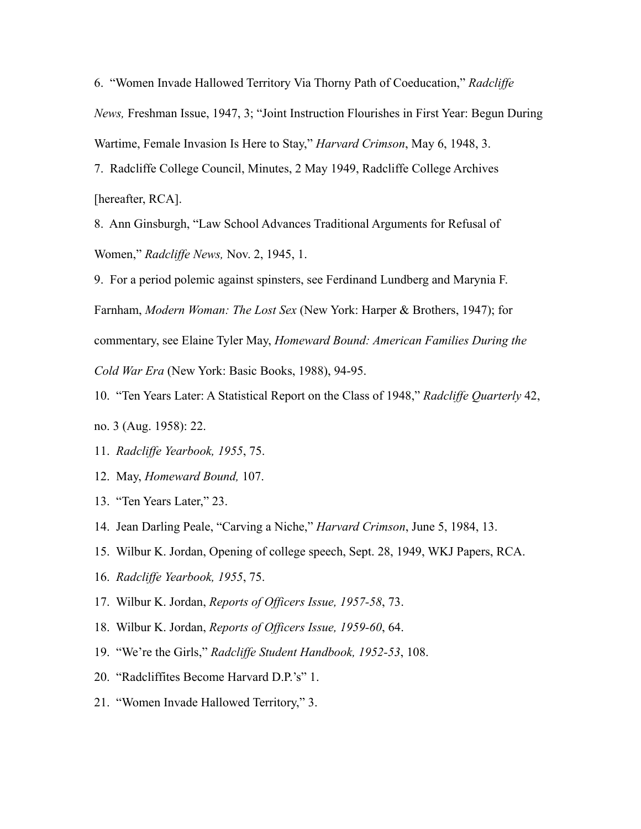<span id="page-17-0"></span>6. "Women Invade Hallowed Territory Via Thorny Path of Coeducation," *Radcliffe News,* Freshman Issue, 1947, 3; "Joint Instruction Flourishes in First Year: Begun During Wartime, Female Invasion Is Here to Stay," *Harvard Crimson*, May 6, 1948, 3. 7. Radcliffe College Council, Minutes, 2 May 1949, Radcliffe College Archives

<span id="page-17-1"></span>[hereafter, RCA].

<span id="page-17-2"></span>8. Ann Ginsburgh, "Law School Advances Traditional Arguments for Refusal of Women," *Radcliffe News,* Nov. 2, 1945, 1.

<span id="page-17-3"></span>9. For a period polemic against spinsters, see Ferdinand Lundberg and Marynia F.

Farnham, *Modern Woman: The Lost Sex* (New York: Harper & Brothers, 1947); for

commentary, see Elaine Tyler May, *Homeward Bound: American Families During the* 

*Cold War Era* (New York: Basic Books, 1988), 94-95.

<span id="page-17-4"></span>10. "Ten Years Later: A Statistical Report on the Class of 1948," *Radcliffe Quarterly* 42,

- no. 3 (Aug. 1958): 22.
- <span id="page-17-5"></span>11. *Radcliffe Yearbook, 1955*, 75.
- <span id="page-17-6"></span>12. May, *Homeward Bound,* 107.
- <span id="page-17-7"></span>13. "Ten Years Later," 23.
- <span id="page-17-8"></span>14. Jean Darling Peale, "Carving a Niche," *Harvard Crimson*, June 5, 1984, 13.

<span id="page-17-9"></span>15. Wilbur K. Jordan, Opening of college speech, Sept. 28, 1949, WKJ Papers, RCA.

- <span id="page-17-10"></span>16. *Radcliffe Yearbook, 1955*, 75.
- <span id="page-17-11"></span>17. Wilbur K. Jordan, *Reports of Officers Issue, 1957-58*, 73.
- <span id="page-17-12"></span>18. Wilbur K. Jordan, *Reports of Officers Issue, 1959-60*, 64.
- <span id="page-17-13"></span>19. "We're the Girls," *Radcliffe Student Handbook, 1952-53*, 108.
- <span id="page-17-14"></span>20. "Radcliffites Become Harvard D.P.'s" 1.
- <span id="page-17-15"></span>21. "Women Invade Hallowed Territory," 3.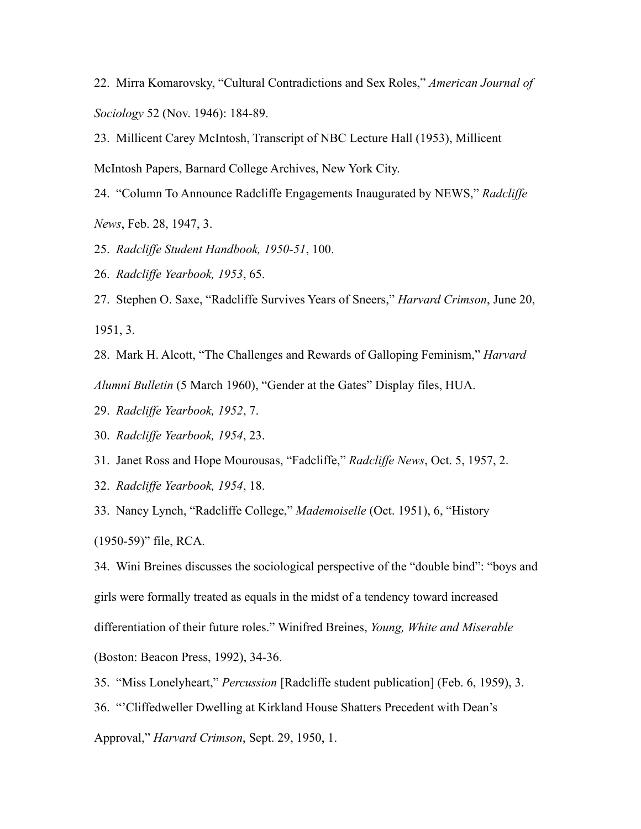<span id="page-18-0"></span>22. Mirra Komarovsky, "Cultural Contradictions and Sex Roles," *American Journal of Sociology* 52 (Nov. 1946): 184-89.

<span id="page-18-1"></span>23. Millicent Carey McIntosh, Transcript of NBC Lecture Hall (1953), Millicent

McIntosh Papers, Barnard College Archives, New York City.

<span id="page-18-2"></span>24. "Column To Announce Radcliffe Engagements Inaugurated by NEWS," *Radcliffe* 

*News*, Feb. 28, 1947, 3.

<span id="page-18-3"></span>25. *Radcliffe Student Handbook, 1950-51*, 100.

<span id="page-18-4"></span>26. *Radcliffe Yearbook, 1953*, 65.

<span id="page-18-5"></span>27. Stephen O. Saxe, "Radcliffe Survives Years of Sneers," *Harvard Crimson*, June 20, 1951, 3.

<span id="page-18-6"></span>28. Mark H. Alcott, "The Challenges and Rewards of Galloping Feminism," *Harvard Alumni Bulletin* (5 March 1960), "Gender at the Gates" Display files, HUA.

<span id="page-18-7"></span>29. *Radcliffe Yearbook, 1952*, 7.

<span id="page-18-8"></span>30. *Radcliffe Yearbook, 1954*, 23.

<span id="page-18-9"></span>31. Janet Ross and Hope Mourousas, "Fadcliffe," *Radcliffe News*, Oct. 5, 1957, 2.

<span id="page-18-10"></span>32. *Radcliffe Yearbook, 1954*, 18.

<span id="page-18-11"></span>33. Nancy Lynch, "Radcliffe College," *Mademoiselle* (Oct. 1951), 6, "History

(1950-59)" file, RCA.

<span id="page-18-12"></span>34. Wini Breines discusses the sociological perspective of the "double bind": "boys and girls were formally treated as equals in the midst of a tendency toward increased

differentiation of their future roles." Winifred Breines, *Young, White and Miserable* 

(Boston: Beacon Press, 1992), 34-36.

<span id="page-18-13"></span>35. "Miss Lonelyheart," *Percussion* [Radcliffe student publication] (Feb. 6, 1959), 3.

<span id="page-18-14"></span>36. "'Cliffedweller Dwelling at Kirkland House Shatters Precedent with Dean's

Approval," *Harvard Crimson*, Sept. 29, 1950, 1.